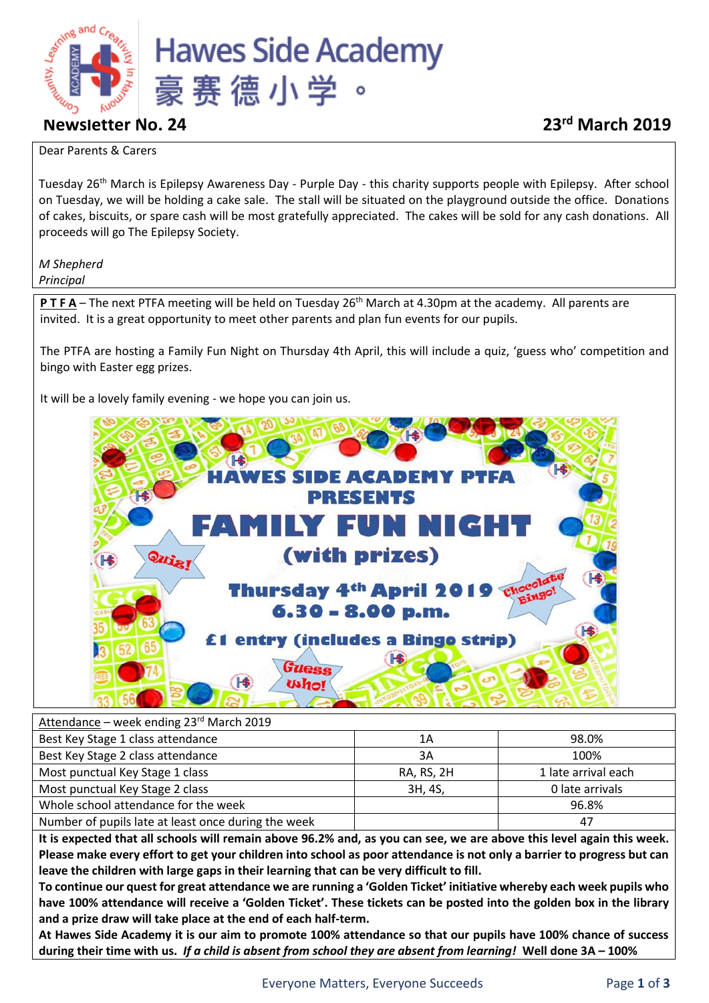

## **Newsletter No. 24 23rd March 2019**

## Dear Parents & Carers

Tuesday 26th March is Epilepsy Awareness Day - Purple Day - this charity supports people with Epilepsy. After school on Tuesday, we will be holding a cake sale. The stall will be situated on the playground outside the office. Donations of cakes, biscuits, or spare cash will be most gratefully appreciated. The cakes will be sold for any cash donations. All proceeds will go The Epilepsy Society.

*M Shepherd Principal*

**P T F A** – The next PTFA meeting will be held on Tuesday 26<sup>th</sup> March at 4.30pm at the academy. All parents are invited. It is a great opportunity to meet other parents and plan fun events for our pupils.

The PTFA are hosting a Family Fun Night on Thursday 4th April, this will include a quiz, 'guess who' competition and bingo with Easter egg prizes.

It will be a lovely family evening - we hope you can join us.



| Attendance – week ending 23rd March 2019            |            |                     |
|-----------------------------------------------------|------------|---------------------|
| Best Key Stage 1 class attendance                   | 1Α         | 98.0%               |
| Best Key Stage 2 class attendance                   | 3A         | 100%                |
| Most punctual Key Stage 1 class                     | RA, RS, 2H | 1 late arrival each |
| Most punctual Key Stage 2 class                     | 3H, 4S,    | 0 late arrivals     |
| Whole school attendance for the week                |            | 96.8%               |
| Number of pupils late at least once during the week |            | 47                  |

**It is expected that all schools will remain above 96.2% and, as you can see, we are above this level again this week. Please make every effort to get your children into school as poor attendance is not only a barrier to progress but can leave the children with large gaps in their learning that can be very difficult to fill.** 

**To continue our quest for great attendance we are running a 'Golden Ticket' initiative whereby each week pupils who have 100% attendance will receive a 'Golden Ticket'. These tickets can be posted into the golden box in the library and a prize draw will take place at the end of each half-term.** 

**At Hawes Side Academy it is our aim to promote 100% attendance so that our pupils have 100% chance of success during their time with us.** *If a child is absent from school they are absent from learning!* **Well done 3A – 100%**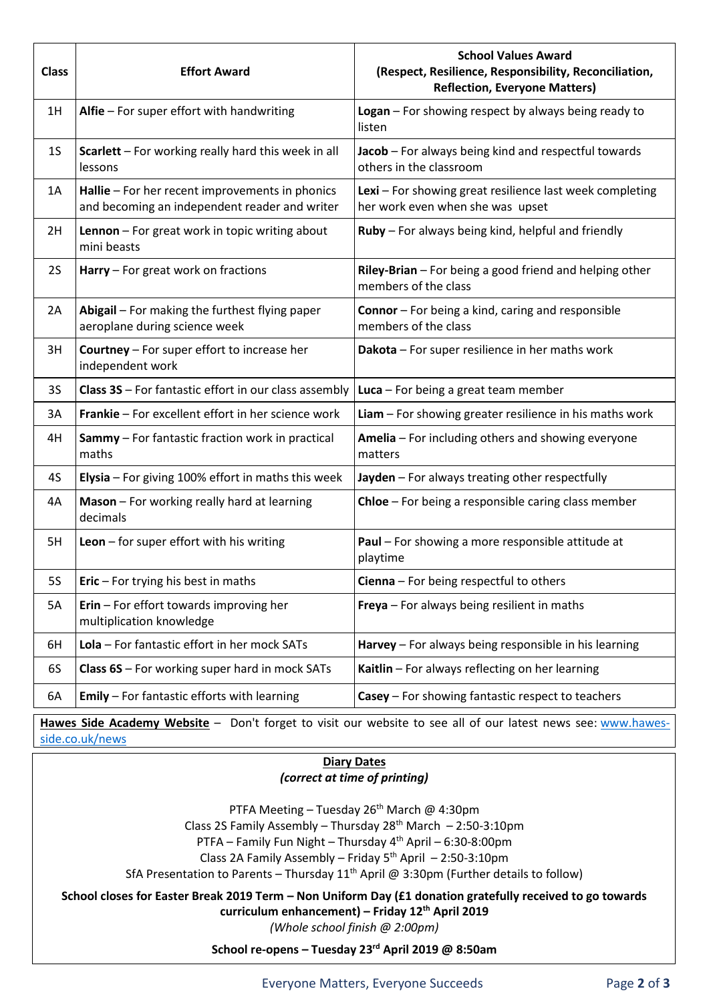| <b>Class</b>   | <b>Effort Award</b>                                                                              | <b>School Values Award</b><br>(Respect, Resilience, Responsibility, Reconciliation,<br><b>Reflection, Everyone Matters)</b> |  |
|----------------|--------------------------------------------------------------------------------------------------|-----------------------------------------------------------------------------------------------------------------------------|--|
| 1H             | Alfie $-$ For super effort with handwriting                                                      | Logan - For showing respect by always being ready to<br>listen                                                              |  |
| 1 <sub>S</sub> | Scarlett - For working really hard this week in all<br>lessons                                   | Jacob - For always being kind and respectful towards<br>others in the classroom                                             |  |
| 1A             | Hallie - For her recent improvements in phonics<br>and becoming an independent reader and writer | Lexi - For showing great resilience last week completing<br>her work even when she was upset                                |  |
| 2H             | Lennon - For great work in topic writing about<br>mini beasts                                    | Ruby - For always being kind, helpful and friendly                                                                          |  |
| <b>2S</b>      | Harry - For great work on fractions                                                              | Riley-Brian - For being a good friend and helping other<br>members of the class                                             |  |
| 2A             | Abigail - For making the furthest flying paper<br>aeroplane during science week                  | <b>Connor</b> - For being a kind, caring and responsible<br>members of the class                                            |  |
| 3H             | <b>Courtney</b> - For super effort to increase her<br>independent work                           | Dakota - For super resilience in her maths work                                                                             |  |
| <b>3S</b>      | <b>Class 3S</b> - For fantastic effort in our class assembly                                     | Luca $-$ For being a great team member                                                                                      |  |
| 3A             | <b>Frankie</b> – For excellent effort in her science work                                        | Liam - For showing greater resilience in his maths work                                                                     |  |
| 4H             | <b>Sammy</b> - For fantastic fraction work in practical<br>maths                                 | Amelia - For including others and showing everyone<br>matters                                                               |  |
| 4S             | Elysia - For giving 100% effort in maths this week                                               | Jayden - For always treating other respectfully                                                                             |  |
| 4A             | Mason - For working really hard at learning<br>decimals                                          | Chloe - For being a responsible caring class member                                                                         |  |
| 5H             | Leon $-$ for super effort with his writing                                                       | Paul - For showing a more responsible attitude at<br>playtime                                                               |  |
| 5S             | <b>Eric</b> – For trying his best in maths                                                       | Cienna - For being respectful to others                                                                                     |  |
| 5A             | Erin - For effort towards improving her<br>multiplication knowledge                              | Freya - For always being resilient in maths                                                                                 |  |
| 6H             | Lola - For fantastic effort in her mock SATs                                                     | Harvey - For always being responsible in his learning                                                                       |  |
| 6S             | Class 6S - For working super hard in mock SATs                                                   | Kaitlin - For always reflecting on her learning                                                                             |  |
| 6A             | Emily - For fantastic efforts with learning                                                      | Casey - For showing fantastic respect to teachers                                                                           |  |

**Hawes Side Academy Website** – Don't forget to visit our website to see all of our latest news see: [www.hawes](http://www.hawes-side.co.uk/news)[side.co.uk/news](http://www.hawes-side.co.uk/news)

## **Diary Dates** *(correct at time of printing)*

PTFA Meeting - Tuesday  $26<sup>th</sup>$  March @ 4:30pm Class 2S Family Assembly - Thursday  $28<sup>th</sup>$  March - 2:50-3:10pm PTFA – Family Fun Night – Thursday  $4^{th}$  April – 6:30-8:00pm Class 2A Family Assembly - Friday 5<sup>th</sup> April - 2:50-3:10pm SfA Presentation to Parents – Thursday  $11<sup>th</sup>$  April @ 3:30pm (Further details to follow)

**School closes for Easter Break 2019 Term – Non Uniform Day (£1 donation gratefully received to go towards curriculum enhancement) – Friday 12th April 2019**

*(Whole school finish @ 2:00pm)*

**School re-opens – Tuesday 23rd April 2019 @ 8:50am**

Everyone Matters, Everyone Succeeds Page **2** of **3**